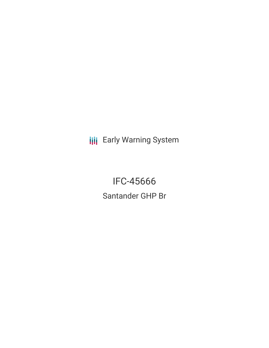**III** Early Warning System

**IFC-45666** Santander GHP Br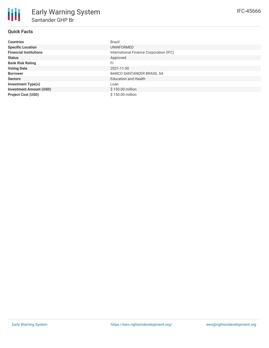## **Quick Facts**

| <b>Countries</b>               | Brazil                                  |
|--------------------------------|-----------------------------------------|
| <b>Specific Location</b>       | UNINFORMED                              |
| <b>Financial Institutions</b>  | International Finance Corporation (IFC) |
| <b>Status</b>                  | Approved                                |
| <b>Bank Risk Rating</b>        | FI                                      |
| <b>Voting Date</b>             | 2021-11-30                              |
| <b>Borrower</b>                | <b>BANCO SANTANDER BRASIL SA</b>        |
| <b>Sectors</b>                 | <b>Education and Health</b>             |
| <b>Investment Type(s)</b>      | Loan                                    |
| <b>Investment Amount (USD)</b> | \$150.00 million                        |
| <b>Project Cost (USD)</b>      | \$150.00 million                        |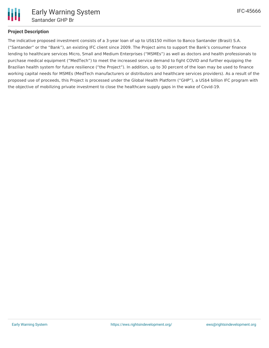

# **Project Description**

The indicative proposed investment consists of a 3-year loan of up to US\$150 million to Banco Santander (Brasil) S.A. ("Santander" or the "Bank"), an existing IFC client since 2009. The Project aims to support the Bank's consumer finance lending to healthcare services Micro, Small and Medium Enterprises ("MSMEs") as well as doctors and health professionals to purchase medical equipment ("MedTech") to meet the increased service demand to fight COVID and further equipping the Brazilian health system for future resilience ("the Project"). In addition, up to 30 percent of the loan may be used to finance working capital needs for MSMEs (MedTech manufacturers or distributors and healthcare services providers). As a result of the proposed use of proceeds, this Project is processed under the Global Health Platform ("GHP"), a US\$4 billion IFC program with the objective of mobilizing private investment to close the healthcare supply gaps in the wake of Covid-19.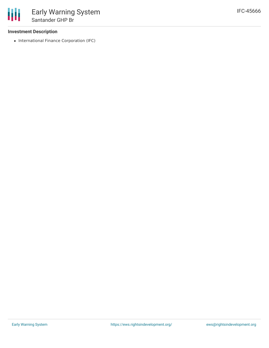### **Investment Description**

• International Finance Corporation (IFC)